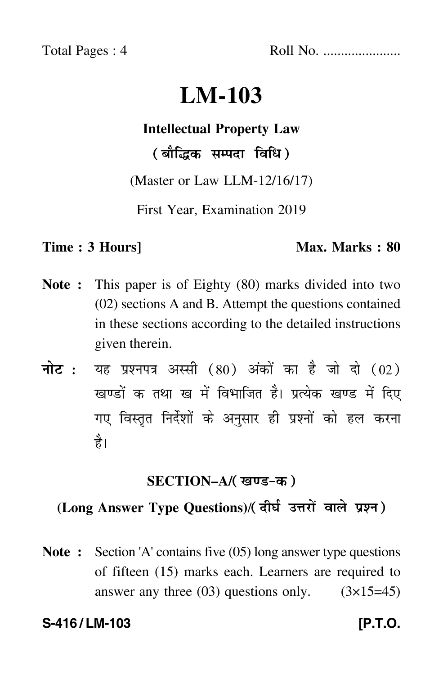Total Pages : 4 Roll No. ......................

# **LM-103**

## **Intellectual Property Law**

( बौद्धिक सम्पदा विधि )

(Master or Law LLM-12/16/17)

First Year, Examination 2019

#### **Time : 3 Hours]** Max. Marks : 80

- **Note :** This paper is of Eighty (80) marks divided into two (02) sections A and B. Attempt the questions contained in these sections according to the detailed instructions given therein.
- नोट : यह प्रश्नपत्र अस्सी (80) अंकों का है जो दो (02) खण्डों क तथा ख में विभाजित है। प्रत्येक खण्ड में दिए गए विस्तृत निर्देशों के अनुसार ही प्रश्नों को हल करन<mark>ा</mark> है।

#### **SECTION–A/**

## **(Long Answer Type Questions)**/

**Note :** Section 'A' contains five (05) long answer type questions of fifteen (15) marks each. Learners are required to answer any three  $(03)$  questions only.  $(3\times15=45)$ 

### **S-416 / LM-103 [P.T.O.**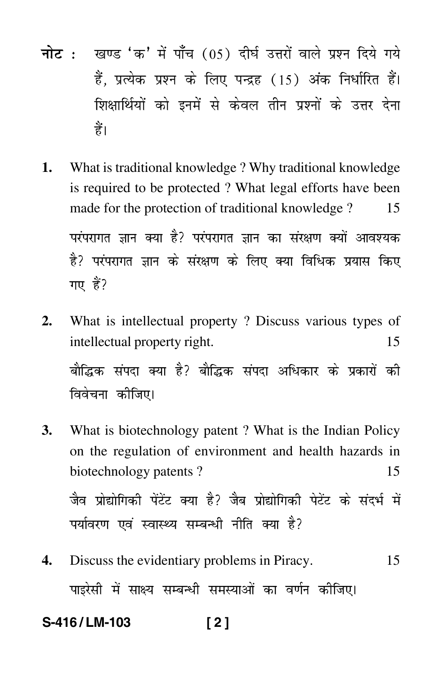- नोट : खण्ड 'क' में पाँच (05) दीर्घ उत्तरों वाले प्रश्न दिये गये हैं. प्रत्येक प्रश्न के लिए पन्द्रह (15) अंक निर्धारित हैं। शिक्षार्थियों को इनमें से केवल तीन प्रश्नों के उत्तर देना हैं।
- 1. What is traditional knowledge? Why traditional knowledge is required to be protected? What legal efforts have been made for the protection of traditional knowledge? 15 परंपरागत ज्ञान क्या है? परंपरागत ज्ञान का संरक्षण क्यों आवश्यक है? परंपरागत ज्ञान के संरक्षण के लिए क्या विधिक प्रयास किए गए हैं?
- $2.$ What is intellectual property? Discuss various types of intellectual property right. 15 बौद्धिक संपदा क्या है? बौद्धिक संपदा अधिकार के प्रकारों की विवेचना कीजिए।
- **3.** What is biotechnology patent? What is the Indian Policy on the regulation of environment and health hazards in biotechnology patents? 15 जैव प्रोद्योगिकी पेंटेंट क्या है? जैब प्रोद्योगिकी पेटेंट के संदर्भ में पर्यावरण एवं स्वास्थ्य सम्बन्धी नीति क्या है?
- $\mathbf{4}$ Discuss the evidentiary problems in Piracy. 15 पाइरेसी में साक्ष्य सम्बन्धी समस्याओं का वर्णन कीजिए।

S-416/LM-103  $121$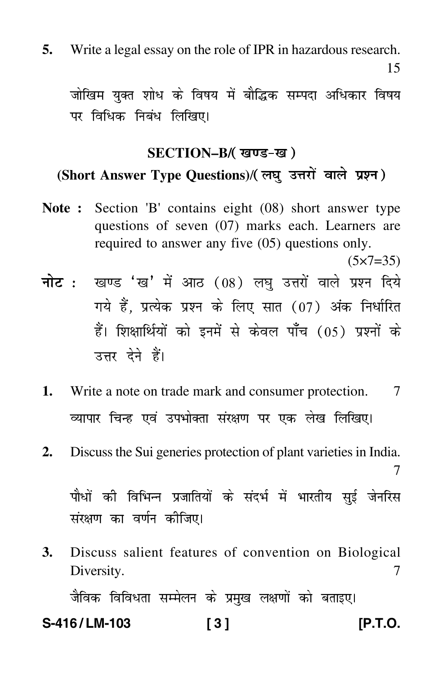**5.** Write a legal essay on the role of IPR in hazardous research.

जोखिम युक्त शोध के विषय में बौद्धिक सम्पदा अधिकार विषय पर विधिक निबंध लिखिए।

# **SECTION–B/ (Short Answer Type Questions)**/

- **Note :** Section 'B' contains eight (08) short answer type questions of seven (07) marks each. Learners are required to answer any five (05) questions only.
- $(5 \times 7 = 35)$ <mark>नोट</mark> : खण्ड 'ख' में आठ (08) लघु उत्तरों वाले प्रश्न दिये गये हैं, प्रत्येक प्रश्न के लिए सात (07) अंक निर्धारित हैं। शिक्षार्थियों को इनमें से केवल पाँच (05) प्रश्नों के उत्तर देने हैं।
- **1.** Write a note on trade mark and consumer protection. 7 व्यापार चिन्ह एवं उपभोक्ता संरक्षण पर एक लेख लिखिए।
- **2.** Discuss the Sui generies protection of plant varieties in India.

7

पौधों की विभिन्न प्रजातियों के संदर्भ में भारतीय सुई जेनरिस संरक्षण का वर्णन कीजिए।

**3.** Discuss salient features of convention on Biological Diversity. 7 जैविक विविधता सम्मेलन के प्रमुख लक्षणों को बताइए।

# **S-416 / LM-103 [ 3 ] [P.T.O.**